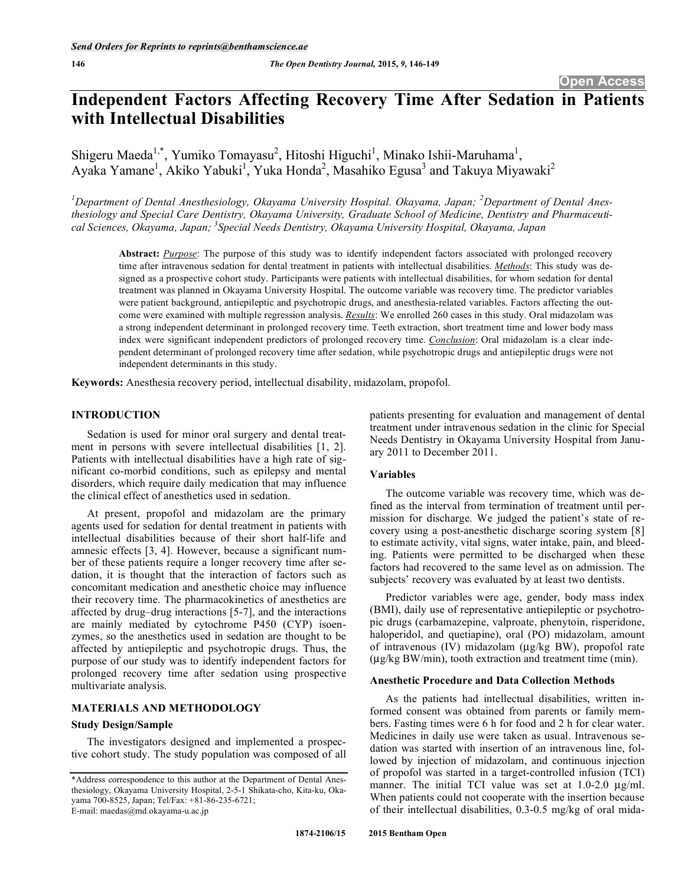# **Independent Factors Affecting Recovery Time After Sedation in Patients with Intellectual Disabilities**

Shigeru Maeda<sup>1,\*</sup>, Yumiko Tomayasu<sup>2</sup>, Hitoshi Higuchi<sup>1</sup>, Minako Ishii-Maruhama<sup>1</sup>, Ayaka Yamane<sup>1</sup>, Akiko Yabuki<sup>1</sup>, Yuka Honda<sup>2</sup>, Masahiko Egusa<sup>3</sup> and Takuya Miyawaki<sup>2</sup>

<sup>1</sup>Department of Dental Anesthesiology, Okayama University Hospital. Okayama, Japan; <sup>2</sup>Department of Dental Anes*thesiology and Special Care Dentistry, Okayama University, Graduate School of Medicine, Dentistry and Pharmaceutical Sciences, Okayama, Japan; 3 Special Needs Dentistry, Okayama University Hospital, Okayama, Japan* 

**Abstract:** *Purpose*: The purpose of this study was to identify independent factors associated with prolonged recovery time after intravenous sedation for dental treatment in patients with intellectual disabilities. *Methods*: This study was designed as a prospective cohort study. Participants were patients with intellectual disabilities, for whom sedation for dental treatment was planned in Okayama University Hospital. The outcome variable was recovery time. The predictor variables were patient background, antiepileptic and psychotropic drugs, and anesthesia-related variables. Factors affecting the outcome were examined with multiple regression analysis. *Results*: We enrolled 260 cases in this study. Oral midazolam was a strong independent determinant in prolonged recovery time. Teeth extraction, short treatment time and lower body mass index were significant independent predictors of prolonged recovery time. *Conclusion*: Oral midazolam is a clear independent determinant of prolonged recovery time after sedation, while psychotropic drugs and antiepileptic drugs were not independent determinants in this study.

**Keywords:** Anesthesia recovery period, intellectual disability, midazolam, propofol.

#### **INTRODUCTION**

Sedation is used for minor oral surgery and dental treatment in persons with severe intellectual disabilities [1, 2]. Patients with intellectual disabilities have a high rate of significant co-morbid conditions, such as epilepsy and mental disorders, which require daily medication that may influence the clinical effect of anesthetics used in sedation.

At present, propofol and midazolam are the primary agents used for sedation for dental treatment in patients with intellectual disabilities because of their short half-life and amnesic effects [3, 4]. However, because a significant number of these patients require a longer recovery time after sedation, it is thought that the interaction of factors such as concomitant medication and anesthetic choice may influence their recovery time. The pharmacokinetics of anesthetics are affected by drug–drug interactions [5-7], and the interactions are mainly mediated by cytochrome P450 (CYP) isoenzymes, so the anesthetics used in sedation are thought to be affected by antiepileptic and psychotropic drugs. Thus, the purpose of our study was to identify independent factors for prolonged recovery time after sedation using prospective multivariate analysis.

#### **MATERIALS AND METHODOLOGY**

#### **Study Design/Sample**

The investigators designed and implemented a prospective cohort study. The study population was composed of all patients presenting for evaluation and management of dental treatment under intravenous sedation in the clinic for Special Needs Dentistry in Okayama University Hospital from January 2011 to December 2011.

#### **Variables**

The outcome variable was recovery time, which was defined as the interval from termination of treatment until permission for discharge. We judged the patient's state of recovery using a post-anesthetic discharge scoring system [8] to estimate activity, vital signs, water intake, pain, and bleeding. Patients were permitted to be discharged when these factors had recovered to the same level as on admission. The subjects' recovery was evaluated by at least two dentists.

Predictor variables were age, gender, body mass index (BMI), daily use of representative antiepileptic or psychotropic drugs (carbamazepine, valproate, phenytoin, risperidone, haloperidol, and quetiapine), oral (PO) midazolam, amount of intravenous (IV) midazolam (μg/kg BW), propofol rate (μg/kg BW/min), tooth extraction and treatment time (min).

#### **Anesthetic Procedure and Data Collection Methods**

As the patients had intellectual disabilities, written informed consent was obtained from parents or family members. Fasting times were 6 h for food and 2 h for clear water. Medicines in daily use were taken as usual. Intravenous sedation was started with insertion of an intravenous line, followed by injection of midazolam, and continuous injection of propofol was started in a target-controlled infusion (TCI) manner. The initial TCI value was set at 1.0-2.0 μg/ml. When patients could not cooperate with the insertion because of their intellectual disabilities, 0.3-0.5 mg/kg of oral mida-

<sup>\*</sup>Address correspondence to this author at the Department of Dental Anesthesiology, Okayama University Hospital, 2-5-1 Shikata-cho, Kita-ku, Okayama 700-8525, Japan; Tel/Fax: +81-86-235-6721; E-mail: maedas@md.okayama-u.ac.jp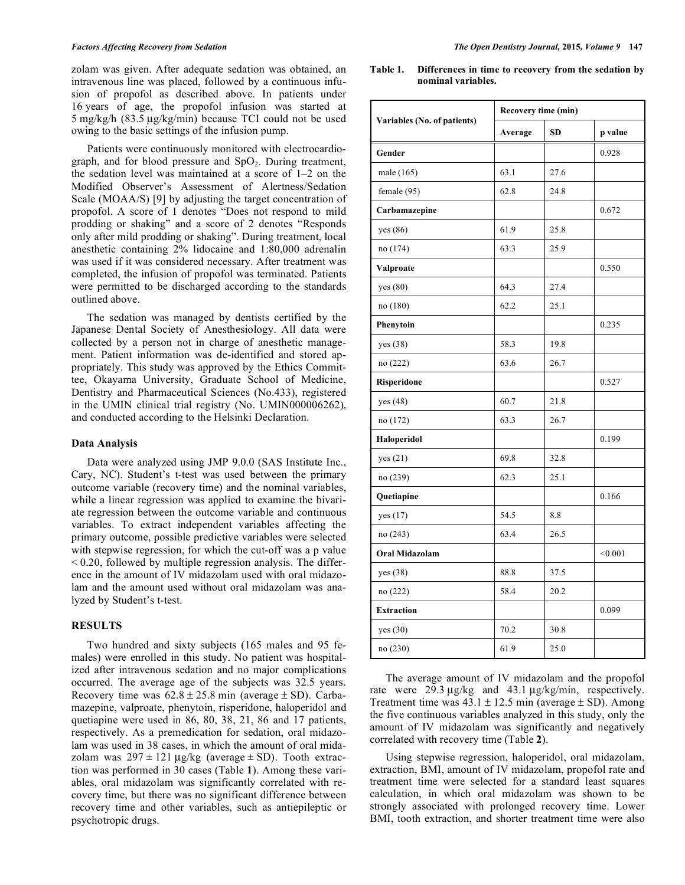zolam was given. After adequate sedation was obtained, an intravenous line was placed, followed by a continuous infusion of propofol as described above. In patients under 16 years of age, the propofol infusion was started at 5 mg/kg/h (83.5 μg/kg/min) because TCI could not be used owing to the basic settings of the infusion pump.

Patients were continuously monitored with electrocardiograph, and for blood pressure and  $SpO<sub>2</sub>$ . During treatment, the sedation level was maintained at a score of 1–2 on the Modified Observer's Assessment of Alertness/Sedation Scale (MOAA/S) [9] by adjusting the target concentration of propofol. A score of 1 denotes "Does not respond to mild prodding or shaking" and a score of 2 denotes "Responds only after mild prodding or shaking". During treatment, local anesthetic containing 2% lidocaine and 1:80,000 adrenalin was used if it was considered necessary. After treatment was completed, the infusion of propofol was terminated. Patients were permitted to be discharged according to the standards outlined above.

The sedation was managed by dentists certified by the Japanese Dental Society of Anesthesiology. All data were collected by a person not in charge of anesthetic management. Patient information was de-identified and stored appropriately. This study was approved by the Ethics Committee, Okayama University, Graduate School of Medicine, Dentistry and Pharmaceutical Sciences (No.433), registered in the UMIN clinical trial registry (No. UMIN000006262), and conducted according to the Helsinki Declaration.

#### **Data Analysis**

Data were analyzed using JMP 9.0.0 (SAS Institute Inc., Cary, NC). Student's t-test was used between the primary outcome variable (recovery time) and the nominal variables, while a linear regression was applied to examine the bivariate regression between the outcome variable and continuous variables. To extract independent variables affecting the primary outcome, possible predictive variables were selected with stepwise regression, for which the cut-off was a p value  $\leq$  0.20, followed by multiple regression analysis. The difference in the amount of IV midazolam used with oral midazolam and the amount used without oral midazolam was analyzed by Student's t-test.

### **RESULTS**

Two hundred and sixty subjects (165 males and 95 females) were enrolled in this study. No patient was hospitalized after intravenous sedation and no major complications occurred. The average age of the subjects was 32.5 years. Recovery time was  $62.8 \pm 25.8$  min (average  $\pm$  SD). Carbamazepine, valproate, phenytoin, risperidone, haloperidol and quetiapine were used in 86, 80, 38, 21, 86 and 17 patients, respectively. As a premedication for sedation, oral midazolam was used in 38 cases, in which the amount of oral midazolam was  $297 \pm 121 \mu$ g/kg (average  $\pm$  SD). Tooth extraction was performed in 30 cases (Table **1**). Among these variables, oral midazolam was significantly correlated with recovery time, but there was no significant difference between recovery time and other variables, such as antiepileptic or psychotropic drugs.

**Table 1. Differences in time to recovery from the sedation by nominal variables.** 

|                             | Recovery time (min)  |      |         |  |  |
|-----------------------------|----------------------|------|---------|--|--|
| Variables (No. of patients) | <b>SD</b><br>Average |      | p value |  |  |
| Gender                      |                      |      | 0.928   |  |  |
| male (165)                  | 63.1                 | 27.6 |         |  |  |
| female (95)                 | 62.8                 | 24.8 |         |  |  |
| Carbamazepine               |                      |      | 0.672   |  |  |
| yes (86)                    | 61.9                 | 25.8 |         |  |  |
| no (174)                    | 63.3                 | 25.9 |         |  |  |
| Valproate                   |                      |      | 0.550   |  |  |
| yes $(80)$                  | 64.3                 | 27.4 |         |  |  |
| no (180)                    | 62.2                 | 25.1 |         |  |  |
| Phenytoin                   |                      |      | 0.235   |  |  |
| yes (38)                    | 58.3                 | 19.8 |         |  |  |
| no (222)                    | 63.6                 | 26.7 |         |  |  |
| Risperidone                 |                      |      | 0.527   |  |  |
| yes $(48)$                  | 60.7                 | 21.8 |         |  |  |
| no (172)                    | 63.3                 | 26.7 |         |  |  |
| Haloperidol                 |                      |      | 0.199   |  |  |
| yes $(21)$                  | 69.8                 | 32.8 |         |  |  |
| no (239)                    | 62.3                 | 25.1 |         |  |  |
| Quetiapine                  |                      |      | 0.166   |  |  |
| yes $(17)$                  | 54.5                 | 8.8  |         |  |  |
| no (243)                    | 63.4                 | 26.5 |         |  |  |
| Oral Midazolam              |                      |      | < 0.001 |  |  |
| yes $(38)$                  | 88.8                 | 37.5 |         |  |  |
| no (222)                    | 58.4                 | 20.2 |         |  |  |
| <b>Extraction</b>           |                      |      | 0.099   |  |  |
| yes $(30)$                  | 70.2                 | 30.8 |         |  |  |
| no (230)                    | 61.9                 | 25.0 |         |  |  |

The average amount of IV midazolam and the propofol rate were 29.3 μg/kg and 43.1 μg/kg/min, respectively. Treatment time was  $43.1 \pm 12.5$  min (average  $\pm$  SD). Among the five continuous variables analyzed in this study, only the amount of IV midazolam was significantly and negatively correlated with recovery time (Table **2**).

Using stepwise regression, haloperidol, oral midazolam, extraction, BMI, amount of IV midazolam, propofol rate and treatment time were selected for a standard least squares calculation, in which oral midazolam was shown to be strongly associated with prolonged recovery time. Lower BMI, tooth extraction, and shorter treatment time were also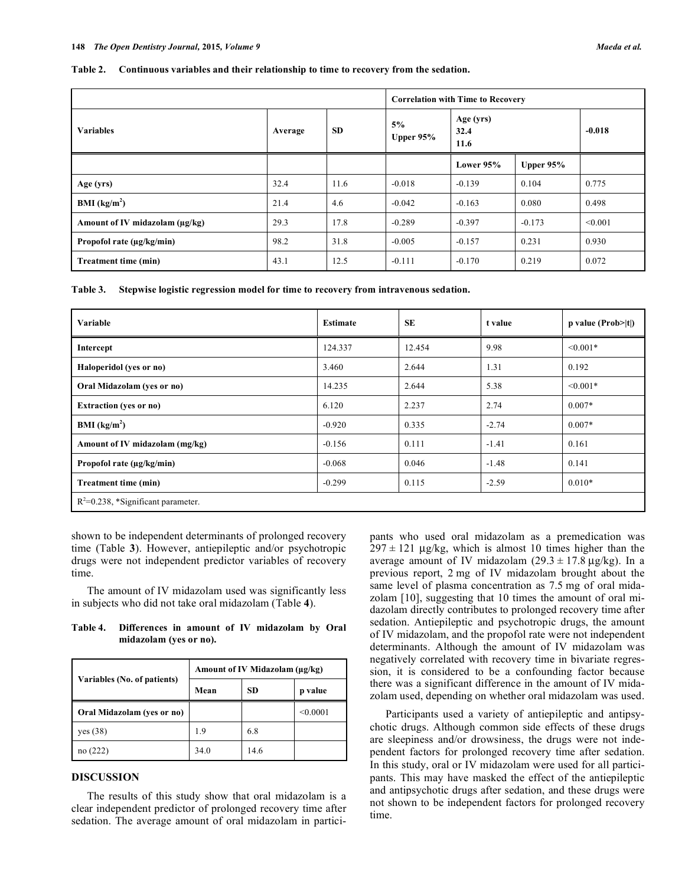#### **Table 2. Continuous variables and their relationship to time to recovery from the sedation.**

|                                |         |           | <b>Correlation with Time to Recovery</b> |                           |             |          |  |
|--------------------------------|---------|-----------|------------------------------------------|---------------------------|-------------|----------|--|
| <b>Variables</b>               | Average | <b>SD</b> | 5%<br>Upper $95%$                        | Age (yrs)<br>32.4<br>11.6 |             | $-0.018$ |  |
|                                |         |           |                                          | Lower 95%                 | Upper $95%$ |          |  |
| Age (yrs)                      | 32.4    | 11.6      | $-0.018$                                 | $-0.139$                  | 0.104       | 0.775    |  |
| BMI (kg/m <sup>2</sup> )       | 21.4    | 4.6       | $-0.042$                                 | $-0.163$                  | 0.080       | 0.498    |  |
| Amount of IV midazolam (µg/kg) | 29.3    | 17.8      | $-0.289$                                 | $-0.397$                  | $-0.173$    | < 0.001  |  |
| Propofol rate $(\mu g/kg/min)$ | 98.2    | 31.8      | $-0.005$                                 | $-0.157$                  | 0.231       | 0.930    |  |
| Treatment time (min)           | 43.1    | 12.5      | $-0.111$                                 | $-0.170$                  | 0.219       | 0.072    |  |

**Table 3. Stepwise logistic regression model for time to recovery from intravenous sedation.** 

| Variable                              | <b>Estimate</b> | <b>SE</b> | t value | $p$ value (Prob> t ) |  |  |  |
|---------------------------------------|-----------------|-----------|---------|----------------------|--|--|--|
| Intercept                             | 124.337         | 12.454    | 9.98    | $\leq 0.001*$        |  |  |  |
| Haloperidol (yes or no)               | 3.460           | 2.644     | 1.31    | 0.192                |  |  |  |
| Oral Midazolam (yes or no)            | 14.235          | 2.644     | 5.38    | $\leq 0.001*$        |  |  |  |
| <b>Extraction</b> (yes or no)         | 6.120           | 2.237     | 2.74    | $0.007*$             |  |  |  |
| BMI (kg/m <sup>2</sup> )              | $-0.920$        | 0.335     | $-2.74$ | $0.007*$             |  |  |  |
| Amount of IV midazolam (mg/kg)        | $-0.156$        | 0.111     | $-1.41$ | 0.161                |  |  |  |
| Propofol rate (µg/kg/min)             | $-0.068$        | 0.046     | $-1.48$ | 0.141                |  |  |  |
| <b>Treatment time (min)</b>           | $-0.299$        | 0.115     | $-2.59$ | $0.010*$             |  |  |  |
| $R^2=0.238$ , *Significant parameter. |                 |           |         |                      |  |  |  |

shown to be independent determinants of prolonged recovery time (Table **3**). However, antiepileptic and/or psychotropic drugs were not independent predictor variables of recovery time.

The amount of IV midazolam used was significantly less in subjects who did not take oral midazolam (Table **4**).

| Table 4. | Differences in amount of IV midazolam by Oral |  |  |  |  |  |  |
|----------|-----------------------------------------------|--|--|--|--|--|--|
|          | midazolam (yes or no).                        |  |  |  |  |  |  |

|                             | Amount of IV Midazolam (µg/kg) |      |          |  |  |
|-----------------------------|--------------------------------|------|----------|--|--|
| Variables (No. of patients) | Mean                           | SD.  | p value  |  |  |
| Oral Midazolam (yes or no)  |                                |      | < 0.0001 |  |  |
| yes (38)                    | 1.9                            | 6.8  |          |  |  |
|                             | 34.0                           | 14.6 |          |  |  |

## **DISCUSSION**

The results of this study show that oral midazolam is a clear independent predictor of prolonged recovery time after sedation. The average amount of oral midazolam in participants who used oral midazolam as a premedication was  $297 \pm 121$  μg/kg, which is almost 10 times higher than the average amount of IV midazolam  $(29.3 \pm 17.8 \text{ µg/kg})$ . In a previous report, 2 mg of IV midazolam brought about the same level of plasma concentration as 7.5 mg of oral midazolam [10], suggesting that 10 times the amount of oral midazolam directly contributes to prolonged recovery time after sedation. Antiepileptic and psychotropic drugs, the amount of IV midazolam, and the propofol rate were not independent determinants. Although the amount of IV midazolam was negatively correlated with recovery time in bivariate regression, it is considered to be a confounding factor because there was a significant difference in the amount of IV midazolam used, depending on whether oral midazolam was used.

Participants used a variety of antiepileptic and antipsychotic drugs. Although common side effects of these drugs are sleepiness and/or drowsiness, the drugs were not independent factors for prolonged recovery time after sedation. In this study, oral or IV midazolam were used for all participants. This may have masked the effect of the antiepileptic and antipsychotic drugs after sedation, and these drugs were not shown to be independent factors for prolonged recovery time.